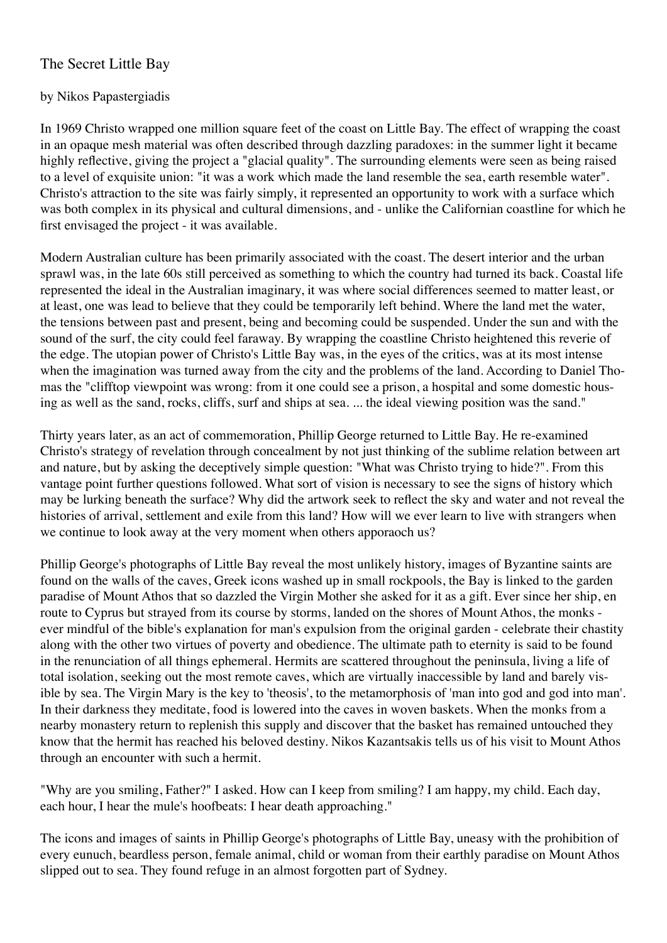## The Secret Little Bay

## by Nikos Papastergiadis

In 1969 Christo wrapped one million square feet of the coast on Little Bay. The effect of wrapping the coast in an opaque mesh material was often described through dazzling paradoxes: in the summer light it became highly reflective, giving the project a "glacial quality". The surrounding elements were seen as being raised to a level of exquisite union: "it was a work which made the land resemble the sea, earth resemble water". Christo's attraction to the site was fairly simply, it represented an opportunity to work with a surface which was both complex in its physical and cultural dimensions, and - unlike the Californian coastline for which he first envisaged the project - it was available.

Modern Australian culture has been primarily associated with the coast. The desert interior and the urban sprawl was, in the late 60s still perceived as something to which the country had turned its back. Coastal life represented the ideal in the Australian imaginary, it was where social differences seemed to matter least, or at least, one was lead to believe that they could be temporarily left behind. Where the land met the water, the tensions between past and present, being and becoming could be suspended. Under the sun and with the sound of the surf, the city could feel faraway. By wrapping the coastline Christo heightened this reverie of the edge. The utopian power of Christo's Little Bay was, in the eyes of the critics, was at its most intense when the imagination was turned away from the city and the problems of the land. According to Daniel Thomas the "clifftop viewpoint was wrong: from it one could see a prison, a hospital and some domestic housing as well as the sand, rocks, cliffs, surf and ships at sea. ... the ideal viewing position was the sand."

Thirty years later, as an act of commemoration, Phillip George returned to Little Bay. He re-examined Christo's strategy of revelation through concealment by not just thinking of the sublime relation between art and nature, but by asking the deceptively simple question: "What was Christo trying to hide?". From this vantage point further questions followed. What sort of vision is necessary to see the signs of history which may be lurking beneath the surface? Why did the artwork seek to reflect the sky and water and not reveal the histories of arrival, settlement and exile from this land? How will we ever learn to live with strangers when we continue to look away at the very moment when others apporaoch us?

Phillip George's photographs of Little Bay reveal the most unlikely history, images of Byzantine saints are found on the walls of the caves, Greek icons washed up in small rockpools, the Bay is linked to the garden paradise of Mount Athos that so dazzled the Virgin Mother she asked for it as a gift. Ever since her ship, en route to Cyprus but strayed from its course by storms, landed on the shores of Mount Athos, the monks ever mindful of the bible's explanation for man's expulsion from the original garden - celebrate their chastity along with the other two virtues of poverty and obedience. The ultimate path to eternity is said to be found in the renunciation of all things ephemeral. Hermits are scattered throughout the peninsula, living a life of total isolation, seeking out the most remote caves, which are virtually inaccessible by land and barely visible by sea. The Virgin Mary is the key to 'theosis', to the metamorphosis of 'man into god and god into man'. In their darkness they meditate, food is lowered into the caves in woven baskets. When the monks from a nearby monastery return to replenish this supply and discover that the basket has remained untouched they know that the hermit has reached his beloved destiny. Nikos Kazantsakis tells us of his visit to Mount Athos through an encounter with such a hermit.

"Why are you smiling, Father?" I asked. How can I keep from smiling? I am happy, my child. Each day, each hour, I hear the mule's hoofbeats: I hear death approaching."

The icons and images of saints in Phillip George's photographs of Little Bay, uneasy with the prohibition of every eunuch, beardless person, female animal, child or woman from their earthly paradise on Mount Athos slipped out to sea. They found refuge in an almost forgotten part of Sydney.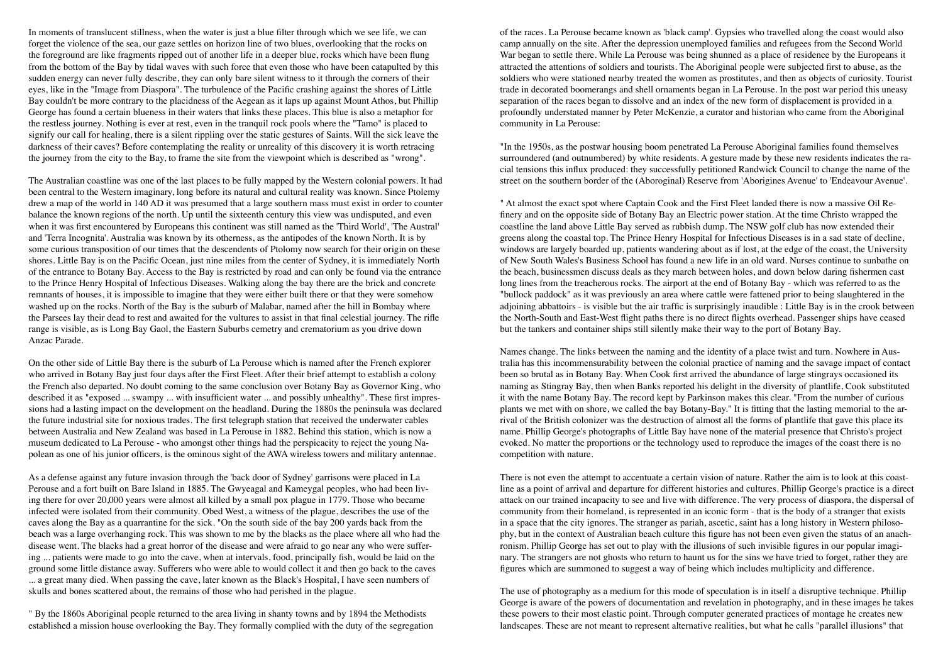In moments of translucent stillness, when the water is just a blue filter through which we see life, we can forget the violence of the sea, our gaze settles on horizon line of two blues, overlooking that the rocks on the foreground are like fragments ripped out of another life in a deeper blue, rocks which have been flung from the bottom of the Bay by tidal waves with such force that even those who have been catapulted by this sudden energy can never fully describe, they can only bare silent witness to it through the corners of their eyes, like in the "Image from Diaspora". The turbulence of the Pacific crashing against the shores of Little Bay couldn't be more contrary to the placidness of the Aegean as it laps up against Mount Athos, but Phillip George has found a certain blueness in their waters that links these places. This blue is also a metaphor for the restless journey. Nothing is ever at rest, even in the tranquil rock pools where the "Tamo" is placed to signify our call for healing, there is a silent rippling over the static gestures of Saints. Will the sick leave the darkness of their caves? Before contemplating the reality or unreality of this discovery it is worth retracing the journey from the city to the Bay, to frame the site from the viewpoint which is described as "wrong".

The Australian coastline was one of the last places to be fully mapped by the Western colonial powers. It had been central to the Western imaginary, long before its natural and cultural reality was known. Since Ptolemy drew a map of the world in 140 AD it was presumed that a large southern mass must exist in order to counter balance the known regions of the north. Up until the sixteenth century this view was undisputed, and even when it was first encountered by Europeans this continent was still named as the 'Third World', 'The Austral' and 'Terra Incognita'. Australia was known by its otherness, as the antipodes of the known North. It is by some curious transposition of our times that the descendents of Ptolomy now search for their origin on these shores. Little Bay is on the Pacific Ocean, just nine miles from the center of Sydney, it is immediately North of the entrance to Botany Bay. Access to the Bay is restricted by road and can only be found via the entrance to the Prince Henry Hospital of Infectious Diseases. Walking along the bay there are the brick and concrete remnants of houses, it is impossible to imagine that they were either built there or that they were somehow washed up on the rocks. North of the Bay is the suburb of Malabar, named after the hill in Bombay where the Parsees lay their dead to rest and awaited for the vultures to assist in that final celestial journey. The rifle range is visible, as is Long Bay Gaol, the Eastern Suburbs cemetry and crematorium as you drive down Anzac Parade.

On the other side of Little Bay there is the suburb of La Perouse which is named after the French explorer who arrived in Botany Bay just four days after the First Fleet. After their brief attempt to establish a colony the French also departed. No doubt coming to the same conclusion over Botany Bay as Governor King, who described it as "exposed ... swampy ... with insufficient water ... and possibly unhealthy". These first impressions had a lasting impact on the development on the headland. During the 1880s the peninsula was declared the future industrial site for noxious trades. The first telegraph station that received the underwater cables between Australia and New Zealand was based in La Perouse in 1882. Behind this station, which is now a museum dedicated to La Perouse - who amongst other things had the perspicacity to reject the young Napolean as one of his junior officers, is the ominous sight of the AWA wireless towers and military antennae.

As a defense against any future invasion through the 'back door of Sydney' garrisons were placed in La Perouse and a fort built on Bare Island in 1885. The Gwyeagal and Kameygal peoples, who had been living there for over 20,000 years were almost all killed by a small pox plague in 1779. Those who became infected were isolated from their community. Obed West, a witness of the plague, describes the use of the caves along the Bay as a quarrantine for the sick. "On the south side of the bay 200 yards back from the beach was a large overhanging rock. This was shown to me by the blacks as the place where all who had the disease went. The blacks had a great horror of the disease and were afraid to go near any who were suffering ... patients were made to go into the cave, when at intervals, food, principally fish, would be laid on the ground some little distance away. Sufferers who were able to would collect it and then go back to the caves ... a great many died. When passing the cave, later known as the Black's Hospital, I have seen numbers of skulls and bones scattered about, the remains of those who had perished in the plague.

" By the 1860s Aboriginal people returned to the area living in shanty towns and by 1894 the Methodists established a mission house overlooking the Bay. They formally complied with the duty of the segregation of the races. La Perouse became known as 'black camp'. Gypsies who travelled along the coast would also camp annually on the site. After the depression unemployed families and refugees from the Second World War began to settle there. While La Perouse was being shunned as a place of residence by the Europeans it attracted the attentions of soldiers and tourists. The Aboriginal people were subjected first to abuse, as the soldiers who were stationed nearby treated the women as prostitutes, and then as objects of curiosity. Tourist trade in decorated boomerangs and shell ornaments began in La Perouse. In the post war period this uneasy separation of the races began to dissolve and an index of the new form of displacement is provided in a profoundly understated manner by Peter McKenzie, a curator and historian who came from the Aboriginal community in La Perouse:

"In the 1950s, as the postwar housing boom penetrated La Perouse Aboriginal families found themselves surroundered (and outnumbered) by white residents. A gesture made by these new residents indicates the racial tensions this influx produced: they successfully petitioned Randwick Council to change the name of the street on the southern border of the (Aboroginal) Reserve from 'Aborigines Avenue' to 'Endeavour Avenue'.

" At almost the exact spot where Captain Cook and the First Fleet landed there is now a massive Oil Refinery and on the opposite side of Botany Bay an Electric power station. At the time Christo wrapped the coastline the land above Little Bay served as rubbish dump. The NSW golf club has now extended their greens along the coastal top. The Prince Henry Hospital for Infectious Diseases is in a sad state of decline, windows are largely boarded up, patients wandering about as if lost, at the edge of the coast, the University of New South Wales's Business School has found a new life in an old ward. Nurses continue to sunbathe on the beach, businessmen discuss deals as they march between holes, and down below daring fishermen cast long lines from the treacherous rocks. The airport at the end of Botany Bay - which was referred to as the "bullock paddock" as it was previously an area where cattle were fattened prior to being slaughtered in the adjoining abbattoirs - is visible but the air traffic is surprisingly inaudible : Little Bay is in the crook between the North-South and East-West flight paths there is no direct flights overhead. Passenger ships have ceased but the tankers and container ships still silently make their way to the port of Botany Bay.

Names change. The links between the naming and the identity of a place twist and turn. Nowhere in Australia has this incommensurability between the colonial practice of naming and the savage impact of contact been so brutal as in Botany Bay. When Cook first arrived the abundance of large stingrays occasioned its naming as Stingray Bay, then when Banks reported his delight in the diversity of plantlife, Cook substituted it with the name Botany Bay. The record kept by Parkinson makes this clear. "From the number of curious plants we met with on shore, we called the bay Botany-Bay." It is fitting that the lasting memorial to the arrival of the British colonizer was the destruction of almost all the forms of plantlife that gave this place its name. Phillip George's photographs of Little Bay have none of the material presence that Christo's project evoked. No matter the proportions or the technology used to reproduce the images of the coast there is no competition with nature.

There is not even the attempt to accentuate a certain vision of nature. Rather the aim is to look at this coastline as a point of arrival and departure for different histories and cultures. Phillip George's practice is a direct attack on our trained incapacity to see and live with difference. The very process of diaspora, the dispersal of community from their homeland, is represented in an iconic form - that is the body of a stranger that exists in a space that the city ignores. The stranger as pariah, ascetic, saint has a long history in Western philosophy, but in the context of Australian beach culture this figure has not been even given the status of an anachronism. Phillip George has set out to play with the illusions of such invisible figures in our popular imaginary. The strangers are not ghosts who return to haunt us for the sins we have tried to forget, rather they are figures which are summoned to suggest a way of being which includes multiplicity and difference.

The use of photography as a medium for this mode of speculation is in itself a disruptive technique. Phillip George is aware of the powers of documentation and revelation in photography, and in these images he takes these powers to their most elastic point. Through computer generated practices of montage he creates new landscapes. These are not meant to represent alternative realities, but what he calls "parallel illusions" that